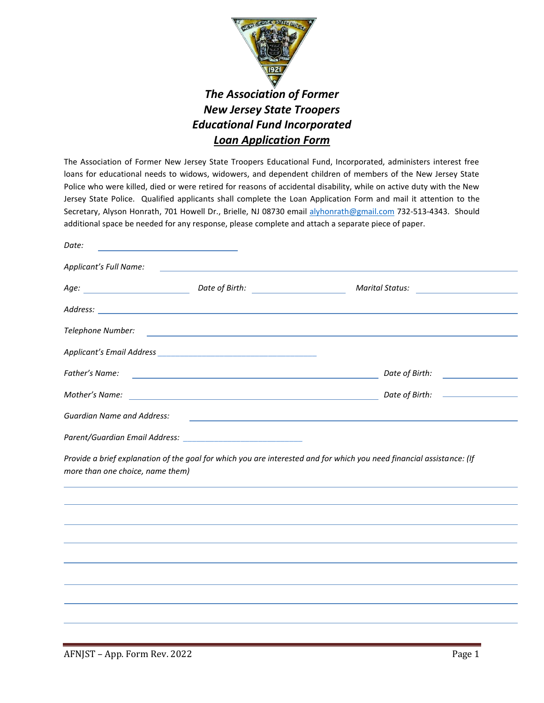

## *The Association of Former New Jersey State Troopers Educational Fund Incorporated Loan Application Form*

The Association of Former New Jersey State Troopers Educational Fund, Incorporated, administers interest free loans for educational needs to widows, widowers, and dependent children of members of the New Jersey State Police who were killed, died or were retired for reasons of accidental disability, while on active duty with the New Jersey State Police. Qualified applicants shall complete the Loan Application Form and mail it attention to the Secretary, Alyson Honrath, 701 Howell Dr., Brielle, NJ 08730 email [alyhonrath@gmail.com](mailto:alyhonrath@gmail.com) 732-513-4343. Should additional space be needed for any response, please complete and attach a separate piece of paper.

| Date:                             |                                                                                                                       |                                                                                                                       |  |  |
|-----------------------------------|-----------------------------------------------------------------------------------------------------------------------|-----------------------------------------------------------------------------------------------------------------------|--|--|
| Applicant's Full Name:            | the control of the control of the control of the control of the control of the control of                             |                                                                                                                       |  |  |
|                                   |                                                                                                                       |                                                                                                                       |  |  |
|                                   |                                                                                                                       |                                                                                                                       |  |  |
| Telephone Number:                 |                                                                                                                       | <u> 1989 - Andrea Stadt Britain, amerikansk politiker (d. 1989)</u>                                                   |  |  |
|                                   |                                                                                                                       |                                                                                                                       |  |  |
| Father's Name:                    | <u> 1989 - Johann John Stone, markin film yn y brening yn y brening yn y brening yn y brening yn y brening yn y b</u> | Date of Birth: <u>_________________</u>                                                                               |  |  |
| Mother's Name:                    | <u> 1989 - Johann Barn, amerikansk politiker (d. 1989)</u>                                                            |                                                                                                                       |  |  |
| <b>Guardian Name and Address:</b> |                                                                                                                       | <u> 1989 - Johann Barn, amerikansk politiker (d. 1989)</u>                                                            |  |  |
|                                   |                                                                                                                       |                                                                                                                       |  |  |
| more than one choice, name them)  |                                                                                                                       | Provide a brief explanation of the goal for which you are interested and for which you need financial assistance: (If |  |  |
|                                   |                                                                                                                       |                                                                                                                       |  |  |
|                                   |                                                                                                                       |                                                                                                                       |  |  |
|                                   |                                                                                                                       |                                                                                                                       |  |  |
|                                   |                                                                                                                       |                                                                                                                       |  |  |
|                                   |                                                                                                                       |                                                                                                                       |  |  |
|                                   |                                                                                                                       |                                                                                                                       |  |  |
|                                   |                                                                                                                       |                                                                                                                       |  |  |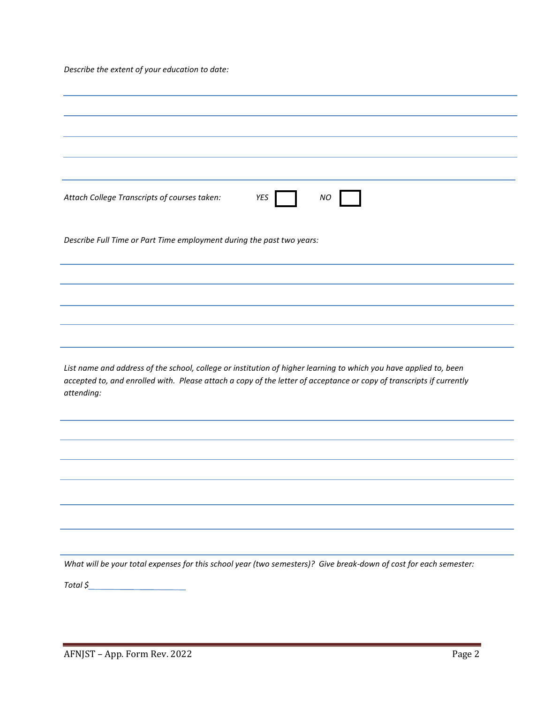*Describe the extent of your education to date:*

| Attach College Transcripts of courses taken:<br>YES<br>NO                                                                                                                                                                                               |  |  |  |  |  |
|---------------------------------------------------------------------------------------------------------------------------------------------------------------------------------------------------------------------------------------------------------|--|--|--|--|--|
| Describe Full Time or Part Time employment during the past two years:                                                                                                                                                                                   |  |  |  |  |  |
|                                                                                                                                                                                                                                                         |  |  |  |  |  |
|                                                                                                                                                                                                                                                         |  |  |  |  |  |
|                                                                                                                                                                                                                                                         |  |  |  |  |  |
|                                                                                                                                                                                                                                                         |  |  |  |  |  |
|                                                                                                                                                                                                                                                         |  |  |  |  |  |
| List name and address of the school, college or institution of higher learning to which you have applied to, been<br>accepted to, and enrolled with. Please attach a copy of the letter of acceptance or copy of transcripts if currently<br>attending: |  |  |  |  |  |
|                                                                                                                                                                                                                                                         |  |  |  |  |  |
|                                                                                                                                                                                                                                                         |  |  |  |  |  |
|                                                                                                                                                                                                                                                         |  |  |  |  |  |
|                                                                                                                                                                                                                                                         |  |  |  |  |  |
|                                                                                                                                                                                                                                                         |  |  |  |  |  |
|                                                                                                                                                                                                                                                         |  |  |  |  |  |
|                                                                                                                                                                                                                                                         |  |  |  |  |  |
|                                                                                                                                                                                                                                                         |  |  |  |  |  |
| What will be your total expenses for this school year (two semesters)? Give break-down of cost for each semester:                                                                                                                                       |  |  |  |  |  |
| Total \$                                                                                                                                                                                                                                                |  |  |  |  |  |
|                                                                                                                                                                                                                                                         |  |  |  |  |  |
|                                                                                                                                                                                                                                                         |  |  |  |  |  |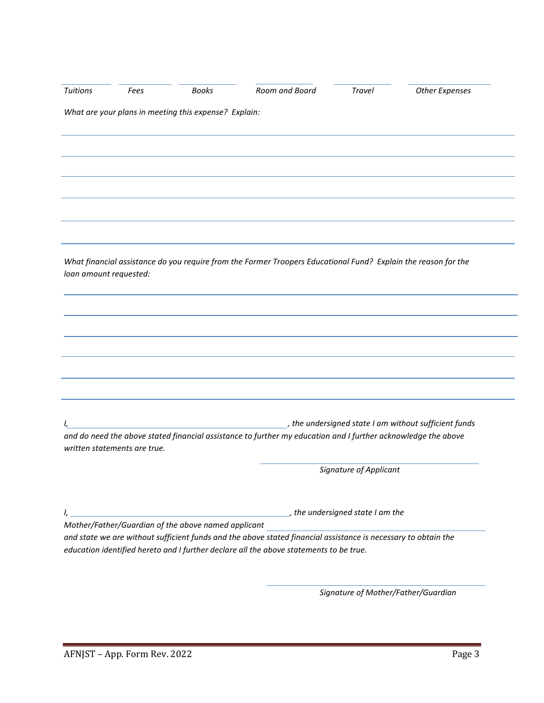| <b>Tuitions</b>        | Fees                         | Books                                                 | Room and Board                                                                                                                                                                                           | Travel                 | <b>Other Expenses</b>                                 |
|------------------------|------------------------------|-------------------------------------------------------|----------------------------------------------------------------------------------------------------------------------------------------------------------------------------------------------------------|------------------------|-------------------------------------------------------|
|                        |                              | What are your plans in meeting this expense? Explain: |                                                                                                                                                                                                          |                        |                                                       |
|                        |                              |                                                       |                                                                                                                                                                                                          |                        |                                                       |
|                        |                              |                                                       |                                                                                                                                                                                                          |                        |                                                       |
|                        |                              |                                                       |                                                                                                                                                                                                          |                        |                                                       |
|                        |                              |                                                       |                                                                                                                                                                                                          |                        |                                                       |
|                        |                              |                                                       |                                                                                                                                                                                                          |                        |                                                       |
|                        |                              |                                                       |                                                                                                                                                                                                          |                        |                                                       |
|                        |                              |                                                       |                                                                                                                                                                                                          |                        |                                                       |
|                        |                              |                                                       | What financial assistance do you require from the Former Troopers Educational Fund? Explain the reason for the                                                                                           |                        |                                                       |
| loan amount requested: |                              |                                                       |                                                                                                                                                                                                          |                        |                                                       |
|                        |                              |                                                       |                                                                                                                                                                                                          |                        |                                                       |
|                        |                              |                                                       |                                                                                                                                                                                                          |                        |                                                       |
|                        |                              |                                                       |                                                                                                                                                                                                          |                        |                                                       |
|                        |                              |                                                       |                                                                                                                                                                                                          |                        |                                                       |
|                        |                              |                                                       |                                                                                                                                                                                                          |                        |                                                       |
|                        |                              |                                                       |                                                                                                                                                                                                          |                        |                                                       |
|                        |                              |                                                       |                                                                                                                                                                                                          |                        |                                                       |
|                        |                              |                                                       | and do need the above stated financial assistance to further my education and I further acknowledge the above                                                                                            |                        | , the undersigned state I am without sufficient funds |
|                        | written statements are true. |                                                       |                                                                                                                                                                                                          |                        |                                                       |
|                        |                              |                                                       |                                                                                                                                                                                                          | Signature of Applicant |                                                       |
|                        |                              |                                                       |                                                                                                                                                                                                          |                        |                                                       |
|                        |                              |                                                       | the undersigned state I am the contract of the state is a method of the state of the state of the state of the                                                                                           |                        |                                                       |
|                        |                              | Mother/Father/Guardian of the above named applicant   |                                                                                                                                                                                                          |                        |                                                       |
|                        |                              |                                                       | and state we are without sufficient funds and the above stated financial assistance is necessary to obtain the<br>education identified hereto and I further declare all the above statements to be true. |                        |                                                       |
|                        |                              |                                                       |                                                                                                                                                                                                          |                        |                                                       |
|                        |                              |                                                       |                                                                                                                                                                                                          |                        | Signature of Mother/Father/Guardian                   |
|                        |                              |                                                       |                                                                                                                                                                                                          |                        |                                                       |